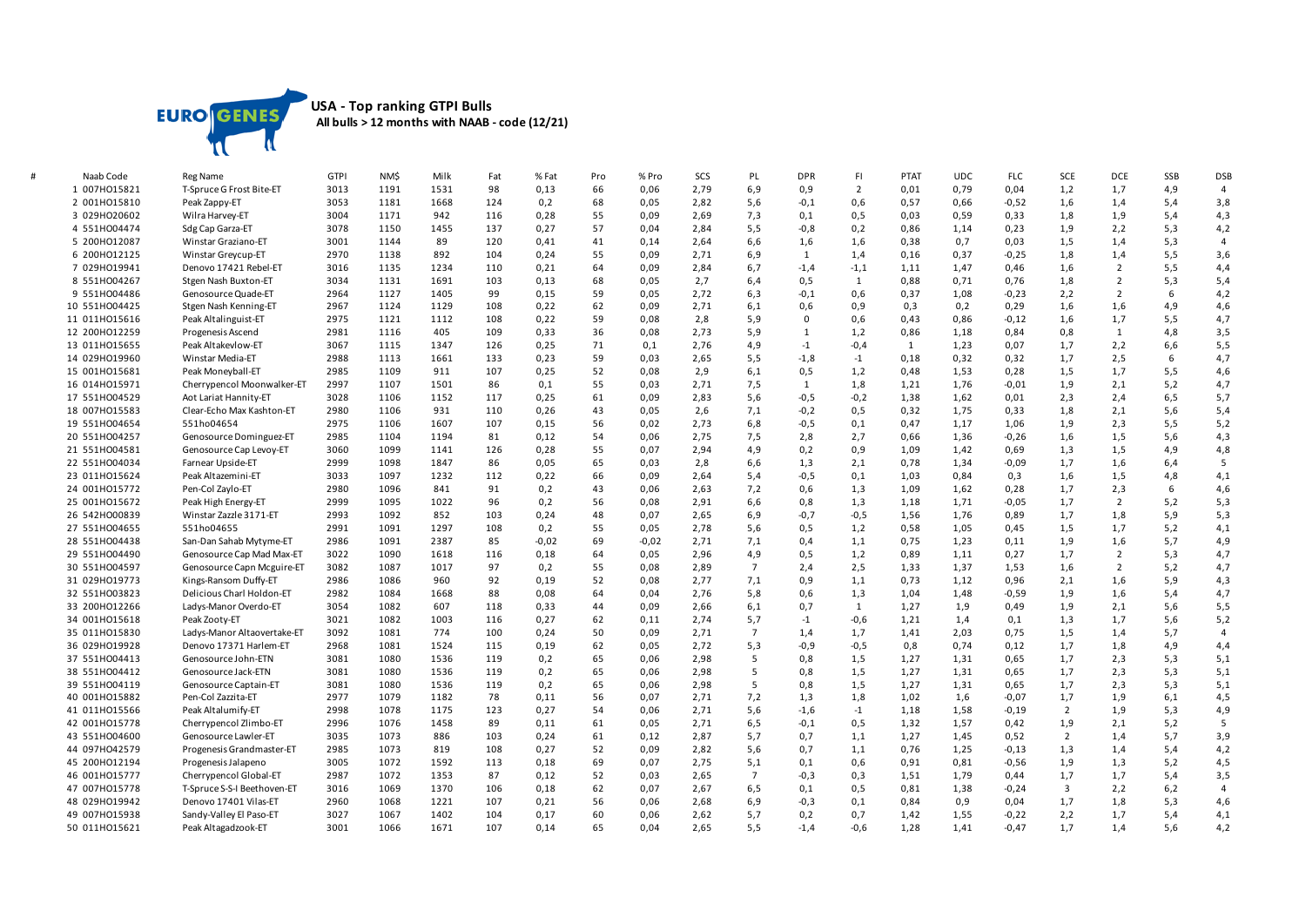

## **USA - Top ranking GTPI Bulls All bulls > 12 months with NAAB - code (12/21)**

| Naab Code     | <b>Reg Name</b>             | <b>GTPI</b>  | NM\$         | Milk         | Fat | % Fat   | Pro      | % Pro   | SCS  | PL             | <b>DPR</b>  | FI.            | <b>PTAT</b> | <b>UDC</b> | <b>FLC</b> | SCE                     | <b>DCE</b>     | SSB  | <b>DSB</b>     |
|---------------|-----------------------------|--------------|--------------|--------------|-----|---------|----------|---------|------|----------------|-------------|----------------|-------------|------------|------------|-------------------------|----------------|------|----------------|
| 1 007HO15821  | T-Spruce G Frost Bite-ET    | 3013         | 1191         | 1531         | 98  | 0,13    | 66       | 0,06    | 2,79 | 6,9            | 0,9         | $\overline{2}$ | 0,01        | 0,79       | 0,04       | 1,2                     | 1,7            | 4,9  | $\overline{4}$ |
| 2 001H015810  | Peak Zappy-ET               | 3053         | 1181         | 1668         | 124 | 0,2     | 68       | 0,05    | 2,82 | 5,6            | $-0,1$      | 0,6            | 0,57        | 0,66       | $-0,52$    | 1,6                     | 1,4            | 5,4  | 3,8            |
| 3 029HO20602  | Wilra Harvey-ET             | 3004         | 1171         | 942          | 116 | 0,28    | 55       | 0,09    | 2,69 | 7,3            | 0,1         | 0,5            | 0,03        | 0,59       | 0,33       | 1,8                     | 1,9            | 5,4  | 4,3            |
| 4 551H004474  | Sdg Cap Garza-ET            | 3078         | 1150         | 1455         | 137 | 0,27    | 57       | 0,04    | 2,84 | 5, 5           | $-0,8$      | 0,2            | 0,86        | 1,14       | 0,23       | 1,9                     | 2,2            | 5,3  | 4,2            |
| 5 200HO12087  | Winstar Graziano-ET         | 3001         | 1144         | 89           | 120 | 0,41    | 41       | 0,14    | 2,64 | 6,6            | 1,6         | 1,6            | 0,38        | 0,7        | 0,03       | 1,5                     | 1,4            | 5,3  | $\overline{4}$ |
| 6 200HO12125  | Winstar Greycup-ET          | 2970         | 1138         | 892          | 104 | 0,24    | 55       | 0,09    | 2,71 | 6,9            | 1           | 1,4            | 0,16        | 0,37       | $-0,25$    | 1,8                     | 1,4            | 5,5  | 3,6            |
| 7 029HO19941  | Denovo 17421 Rebel-ET       | 3016         | 1135         | 1234         | 110 | 0,21    | 64       | 0,09    | 2,84 | 6,7            | $-1,4$      | $-1,1$         | 1,11        | 1,47       | 0,46       | 1,6                     | $\overline{2}$ | 5,5  | 4,4            |
| 8 551H004267  | Stgen Nash Buxton-ET        | 3034         | 1131         | 1691         | 103 | 0,13    | 68       | 0,05    | 2,7  | 6,4            | 0,5         | 1              | 0,88        | 0,71       | 0,76       | 1,8                     | $\overline{2}$ | 5,3  | 5,4            |
| 9 551HO04486  | Genosource Quade-ET         | 2964         | 1127         | 1405         | 99  | 0,15    | 59       | 0,05    | 2,72 | 6,3            | $-0,1$      | 0,6            | 0,37        | 1,08       | $-0,23$    | 2,2                     | $\overline{2}$ | 6    | 4,2            |
| 10 551H004425 | Stgen Nash Kenning-ET       | 2967         | 1124         | 1129         | 108 | 0,22    | 62       | 0,09    | 2,71 | 6,1            | 0,6         | 0,9            | 0,3         | 0,2        | 0,29       | 1,6                     | 1,6            | 4,9  | 4,6            |
| 11 011H015616 | Peak Altalinguist-ET        | 2975         | 1121         | 1112         | 108 | 0,22    | 59       | 0,08    | 2,8  | 5,9            | $\mathbf 0$ | 0,6            | 0,43        | 0,86       | $-0,12$    | 1,6                     | 1,7            | 5,5  | 4,7            |
| 12 200HO12259 | Progenesis Ascend           | 2981         | 1116         | 405          | 109 | 0,33    | 36       | 0,08    | 2,73 | 5,9            | 1           | 1,2            | 0,86        | 1,18       | 0,84       | 0,8                     | $\mathbf{1}$   | 4,8  | 3,5            |
| 13 011H015655 | Peak Altakevlow-ET          | 3067         | 1115         | 1347         | 126 | 0,25    | 71       | 0,1     | 2,76 | 4,9            | $-1$        | $-0,4$         | 1           | 1,23       | 0,07       | 1,7                     | 2,2            | 6,6  | 5,5            |
| 14 029H019960 | Winstar Media-ET            | 2988         | 1113         | 1661         | 133 | 0,23    | 59       | 0,03    | 2,65 | 5, 5           | $-1,8$      | $-1$           | 0,18        | 0,32       | 0,32       | 1,7                     | 2,5            | 6    | 4,7            |
| 15 001HO15681 | Peak Moneyball-ET           | 2985         | 1109         | 911          | 107 | 0,25    | 52       | 0,08    | 2,9  | 6,1            | 0,5         | 1,2            | 0,48        | 1,53       | 0,28       | 1,5                     | 1,7            | 5,5  | 4,6            |
| 16 014H015971 | Cherrypencol Moonwalker-ET  | 2997         | 1107         | 1501         | 86  | 0,1     | 55       | 0,03    | 2,71 | 7,5            | 1           | 1,8            | 1,21        | 1,76       | $-0,01$    | 1,9                     | 2,1            | 5,2  | 4,7            |
| 17 551H004529 | Aot Lariat Hannity-ET       | 3028         | 1106         | 1152         | 117 | 0,25    | 61       | 0,09    | 2,83 | 5,6            | $-0,5$      | $-0,2$         | 1,38        | 1,62       | 0,01       | 2,3                     | 2,4            | 6, 5 | 5,7            |
| 18 007H015583 | Clear-Echo Max Kashton-ET   | 2980         | 1106         | 931          | 110 | 0,26    | 43       | 0,05    | 2,6  | 7,1            | $-0,2$      | 0,5            | 0,32        | 1,75       | 0,33       | 1,8                     | 2,1            | 5,6  | 5,4            |
| 19 551H004654 | 551ho04654                  | 2975         | 1106         | 1607         | 107 | 0,15    | 56       | 0,02    | 2,73 | 6,8            | $-0,5$      | 0,1            | 0,47        | 1,17       | 1,06       | 1,9                     | 2,3            | 5,5  | 5,2            |
| 20 551H004257 | Genosource Dominguez-ET     | 2985         | 1104         | 1194         | 81  | 0,12    | 54       | 0,06    | 2,75 | 7,5            | 2,8         | 2,7            | 0,66        | 1,36       | $-0,26$    | 1,6                     | 1,5            | 5,6  | 4,3            |
| 21 551H004581 | Genosource Cap Levoy-ET     | 3060         | 1099         | 1141         | 126 | 0,28    | 55       | 0,07    | 2,94 | 4,9            | 0,2         | 0,9            | 1,09        | 1,42       | 0,69       | 1,3                     | 1,5            | 4,9  | 4,8            |
| 22 551H004034 | Farnear Upside-ET           | 2999         | 1098         | 1847         | 86  | 0,05    | 65       | 0,03    | 2,8  | 6,6            | 1,3         | 2,1            | 0,78        | 1,34       | $-0,09$    | 1,7                     | 1,6            | 6,4  | 5              |
| 23 011H015624 | Peak Altazemini-ET          | 3033         | 1097         | 1232         | 112 | 0,22    | 66       | 0,09    | 2,64 | 5,4            | $-0,5$      | 0,1            | 1,03        | 0,84       | 0,3        | 1,6                     | 1,5            | 4,8  | 4,1            |
| 24 001H015772 | Pen-Col Zaylo-ET            | 2980         | 1096         | 841          | 91  | 0,2     | 43       | 0,06    | 2,63 | 7,2            | 0,6         | 1,3            | 1,09        | 1,62       | 0,28       | 1,7                     | 2,3            | 6    | 4,6            |
| 25 001H015672 | Peak High Energy-ET         | 2999         | 1095         | 1022         | 96  | 0,2     | 56       | 0,08    | 2,91 | 6,6            | 0,8         | 1,3            | 1,18        | 1,71       | $-0,05$    | 1,7                     | $\overline{2}$ | 5,2  | 5,3            |
| 26 542H000839 | Winstar Zazzle 3171-ET      | 2993         | 1092         | 852          | 103 | 0,24    | 48       | 0,07    | 2,65 | 6,9            | $-0,7$      | $-0,5$         | 1,56        | 1,76       | 0,89       | 1,7                     | 1,8            | 5,9  | 5,3            |
| 27 551H004655 | 551ho04655                  | 2991         | 1091         | 1297         | 108 | 0,2     | 55       | 0,05    | 2,78 | 5,6            | 0,5         | 1,2            | 0,58        | 1,05       | 0,45       | 1,5                     | 1,7            | 5,2  | 4,1            |
| 28 551H004438 | San-Dan Sahab Mytyme-ET     | 2986         | 1091         | 2387         | 85  | $-0,02$ | 69       | $-0,02$ | 2,71 | 7,1            | 0,4         | 1,1            | 0,75        | 1,23       | 0,11       | 1,9                     | 1,6            | 5,7  | 4,9            |
| 29 551HO04490 | Genosource Cap Mad Max-ET   | 3022         | 1090         | 1618         | 116 | 0,18    | 64       | 0,05    | 2,96 | 4,9            | 0,5         | 1,2            | 0,89        | 1,11       | 0,27       | 1,7                     | 2              | 5,3  | 4,7            |
| 30 551HO04597 | Genosource Capn Mcguire-ET  | 3082         | 1087         | 1017         | 97  | 0,2     | 55       | 0,08    | 2,89 | $\overline{7}$ | 2,4         | 2,5            | 1,33        | 1,37       | 1,53       | 1,6                     | $\overline{2}$ | 5,2  | 4,7            |
| 31 029H019773 | Kings-Ransom Duffy-ET       | 2986         | 1086         | 960          | 92  | 0,19    | 52       | 0,08    | 2,77 | 7,1            | 0,9         | 1,1            | 0,73        | 1,12       | 0,96       | 2,1                     | 1,6            | 5,9  | 4,3            |
| 32 551H003823 | Delicious Charl Holdon-ET   | 2982         | 1084         | 1668         | 88  | 0,08    | 64       | 0,04    | 2,76 | 5,8            | 0,6         | 1,3            | 1,04        | 1,48       | $-0,59$    | 1,9                     | 1,6            | 5,4  | 4,7            |
| 33 200HO12266 | Ladys-Manor Overdo-ET       | 3054         | 1082         | 607          | 118 | 0,33    | 44       | 0,09    | 2,66 | 6,1            | 0,7         | 1              | 1,27        | 1,9        | 0,49       | 1,9                     | 2,1            | 5,6  | 5,5            |
| 34 001HO15618 | Peak Zooty-ET               | 3021         | 1082         | 1003         | 116 | 0,27    | 62       | 0,11    | 2,74 | 5,7            | $-1$        | $-0,6$         | 1,21        | 1,4        | 0,1        | 1,3                     | 1,7            | 5,6  | 5,2            |
| 35 011H015830 | Ladys-Manor Altaovertake-ET | 3092         | 1081         | 774          | 100 | 0,24    | 50       | 0,09    | 2,71 | $\overline{7}$ | 1,4         | 1,7            | 1,41        | 2,03       | 0,75       | 1,5                     | 1,4            | 5,7  | $\overline{4}$ |
| 36 029HO19928 | Denovo 17371 Harlem-ET      | 2968         | 1081         | 1524         | 115 | 0,19    | 62       | 0,05    | 2,72 | 5,3            | $-0,9$      | $-0,5$         | 0,8         | 0,74       | 0,12       | 1,7                     | 1,8            | 4,9  | 4,4            |
| 37 551H004413 | Genosource John-ETN         | 3081         | 1080         | 1536         | 119 | 0,2     | 65       | 0,06    | 2,98 | 5              | 0,8         | 1,5            | 1,27        | 1,31       | 0,65       | 1,7                     | 2,3            | 5,3  | 5,1            |
| 38 551H004412 | Genosource Jack-ETN         | 3081         | 1080         | 1536         | 119 | 0,2     | 65       | 0,06    | 2,98 | 5              | 0,8         | 1,5            | 1,27        | 1,31       | 0,65       | 1,7                     | 2,3            | 5,3  | 5,1            |
| 39 551HO04119 | Genosource Captain-ET       | 3081         | 1080         | 1536         | 119 | 0,2     | 65       | 0,06    | 2,98 | 5              | 0,8         | 1,5            | 1,27        | 1,31       | 0,65       | 1,7                     | 2,3            | 5,3  | 5,1            |
| 40 001H015882 | Pen-Col Zazzita-ET          | 2977         | 1079         | 1182         | 78  | 0,11    | 56       | 0,07    | 2,71 | 7,2            | 1,3         | 1,8            | 1,02        | 1,6        | $-0,07$    | 1,7                     | 1,9            | 6,1  | 4,5            |
| 41 011H015566 | Peak Altalumify-ET          | 2998         | 1078         | 1175         | 123 | 0,27    | 54       | 0,06    | 2,71 | 5,6            | $-1,6$      | $-1$           | 1,18        | 1,58       | $-0,19$    | $\overline{2}$          | 1,9            | 5,3  | 4,9            |
| 42 001H015778 | Cherrypencol Zlimbo-ET      | 2996         | 1076         | 1458         | 89  | 0,11    | 61       | 0,05    | 2,71 | 6,5            | $-0,1$      | 0,5            | 1,32        | 1,57       | 0,42       | 1,9                     | 2,1            | 5,2  | 5              |
| 43 551H004600 | Genosource Lawler-ET        | 3035         | 1073         | 886          | 103 | 0,24    | 61       | 0,12    | 2,87 | 5,7            | 0,7         | 1,1            | 1,27        | 1,45       | 0,52       | $\overline{2}$          | 1,4            | 5,7  | 3,9            |
| 44 097HO42579 | Progenesis Grandmaster-ET   | 2985         | 1073         | 819          | 108 | 0,27    | 52       | 0,09    | 2,82 | 5,6            | 0,7         | 1,1            | 0,76        | 1,25       | $-0,13$    | 1,3                     | 1,4            | 5,4  | 4,2            |
| 45 200HO12194 | Progenesis Jalapeno         | 3005         | 1072         | 1592         | 113 | 0,18    | 69       | 0,07    | 2,75 | 5,1            | 0,1         | 0,6            | 0,91        | 0,81       | $-0,56$    | 1,9                     | 1,3            | 5,2  | 4,5            |
| 46 001H015777 | Cherrypencol Global-ET      | 2987         | 1072         | 1353         | 87  | 0,12    | 52       | 0,03    | 2,65 | $\overline{7}$ | $-0,3$      | 0,3            | 1,51        | 1,79       | 0,44       | 1,7                     | 1,7            | 5,4  | 3,5            |
| 47 007HO15778 | T-Spruce S-S-I Beethoven-ET | 3016         | 1069         | 1370         | 106 | 0,18    | 62       | 0,07    | 2,67 |                | 0,1         | 0,5            | 0,81        | 1,38       | $-0,24$    | $\overline{\mathbf{3}}$ | 2,2            | 6,2  | $\overline{4}$ |
|               |                             |              |              |              |     |         |          |         |      | 6,5            |             |                |             |            |            |                         |                |      |                |
| 48 029HO19942 | Denovo 17401 Vilas-ET       | 2960<br>3027 | 1068<br>1067 | 1221<br>1402 | 107 | 0,21    | 56<br>60 | 0,06    | 2,68 | 6,9            | $-0,3$      | 0,1            | 0,84        | 0,9        | 0,04       | 1,7                     | 1,8            | 5,3  | 4,6            |
| 49 007HO15938 | Sandy-Valley El Paso-ET     |              |              |              | 104 | 0,17    |          | 0,06    | 2,62 | 5,7            | 0,2         | 0,7            | 1,42        | 1,55       | $-0,22$    | 2,2                     | 1,7            | 5,4  | 4,1            |
| 50 011H015621 | Peak Altagadzook-ET         | 3001         | 1066         | 1671         | 107 | 0,14    | 65       | 0,04    | 2,65 | 5,5            | $-1,4$      | $-0,6$         | 1,28        | 1,41       | $-0,47$    | 1,7                     | 1,4            | 5,6  | 4,2            |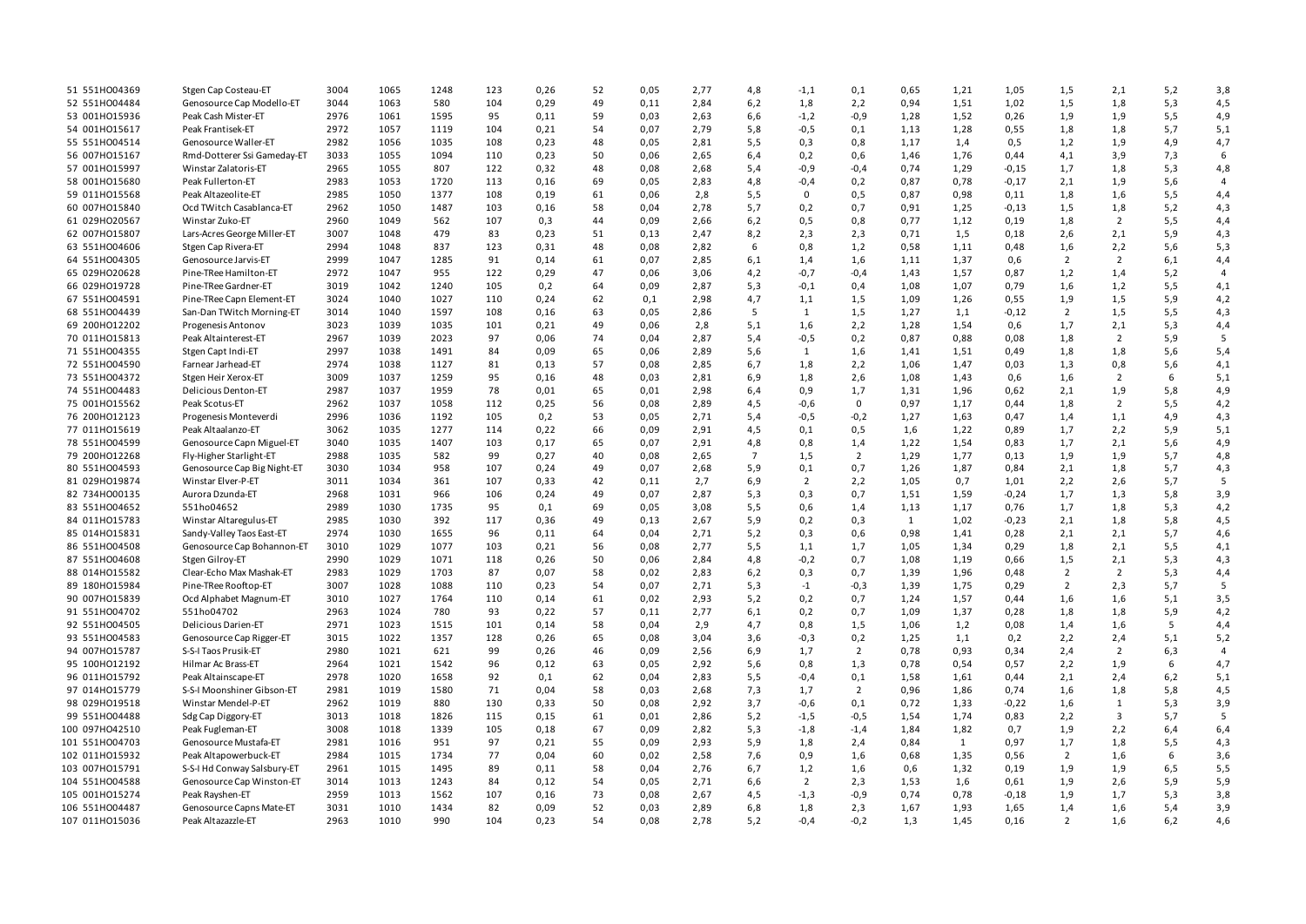| 51 551H004369  | Stgen Cap Costeau-ET        | 3004 | 1065 | 1248 | 123 | 0,26 | 52 | 0,05 | 2,77 | 4,8            | $-1,1$         | 0,1            | 0,65 | 1,21 | 1,05    | 1,5            | 2,1            | 5,2 | 3,8            |
|----------------|-----------------------------|------|------|------|-----|------|----|------|------|----------------|----------------|----------------|------|------|---------|----------------|----------------|-----|----------------|
| 52 551H004484  | Genosource Cap Modello-ET   | 3044 | 1063 | 580  | 104 | 0,29 | 49 | 0,11 | 2,84 | 6,2            | 1,8            | 2,2            | 0,94 | 1,51 | 1,02    | 1,5            | 1,8            | 5,3 | 4,5            |
| 53 001H015936  | Peak Cash Mister-ET         | 2976 | 1061 | 1595 | 95  | 0,11 | 59 | 0,03 | 2,63 | 6,6            | $-1,2$         | $-0,9$         | 1,28 | 1,52 | 0,26    | 1,9            | 1,9            | 5,5 | 4,9            |
| 54 001HO15617  | Peak Frantisek-ET           | 2972 | 1057 | 1119 | 104 | 0,21 | 54 | 0,07 | 2,79 | 5,8            | $-0,5$         | 0,1            | 1,13 | 1,28 | 0,55    | 1,8            | 1,8            | 5,7 | 5,1            |
| 55 551H004514  | Genosource Waller-ET        | 2982 | 1056 | 1035 | 108 | 0,23 | 48 | 0,05 | 2,81 | 5,5            | 0,3            | 0,8            | 1,17 | 1,4  | 0,5     | 1,2            | 1,9            | 4,9 | 4,7            |
| 56 007H015167  |                             | 3033 | 1055 | 1094 |     | 0,23 | 50 | 0,06 | 2,65 |                |                |                | 1,46 | 1,76 |         |                |                |     | 6              |
|                | Rmd-Dotterer Ssi Gameday-ET |      |      |      | 110 |      |    |      |      | 6,4            | 0,2            | 0,6            |      |      | 0,44    | 4,1            | 3,9            | 7,3 |                |
| 57 001H015997  | Winstar Zalatoris-ET        | 2965 | 1055 | 807  | 122 | 0,32 | 48 | 0,08 | 2,68 | 5,4            | $-0,9$         | $-0,4$         | 0,74 | 1,29 | $-0,15$ | 1,7            | 1,8            | 5,3 | 4,8            |
| 58 001H015680  | Peak Fullerton-ET           | 2983 | 1053 | 1720 | 113 | 0,16 | 69 | 0,05 | 2,83 | 4,8            | $-0,4$         | 0,2            | 0,87 | 0,78 | $-0,17$ | 2,1            | 1,9            | 5,6 | 4              |
| 59 011H015568  | Peak Altazeolite-ET         | 2985 | 1050 | 1377 | 108 | 0,19 | 61 | 0,06 | 2,8  | 5,5            | $\mathbf{0}$   | 0, 5           | 0,87 | 0,98 | 0,11    | 1,8            | 1,6            | 5,5 | 4,4            |
| 60 007H015840  | Ocd TWitch Casablanca-ET    | 2962 | 1050 | 1487 | 103 | 0,16 | 58 | 0,04 | 2,78 | 5,7            | 0,2            | 0,7            | 0,91 | 1,25 | $-0,13$ | 1,5            | 1,8            | 5,2 | 4,3            |
| 61 029HO20567  | Winstar Zuko-ET             | 2960 | 1049 | 562  | 107 | 0,3  | 44 | 0,09 | 2,66 | 6,2            | 0,5            | 0,8            | 0,77 | 1,12 | 0,19    | 1,8            | $\overline{2}$ | 5,5 | 4,4            |
| 62 007H015807  | Lars-Acres George Miller-ET | 3007 | 1048 | 479  | 83  | 0,23 | 51 | 0,13 | 2,47 | 8,2            | 2,3            | 2,3            | 0,71 | 1,5  | 0,18    | 2,6            | 2,1            | 5,9 | 4,3            |
| 63 551H004606  | Stgen Cap Rivera-ET         | 2994 | 1048 | 837  | 123 | 0,31 | 48 | 0,08 | 2,82 | 6              | 0,8            | 1,2            | 0,58 | 1,11 | 0,48    | 1,6            | 2,2            | 5,6 | 5,3            |
| 64 551H004305  | Genosource Jarvis-ET        | 2999 | 1047 | 1285 | 91  | 0,14 | 61 | 0,07 | 2,85 | 6,1            | 1,4            | 1,6            | 1,11 | 1,37 | 0,6     | $\overline{2}$ | $\overline{2}$ | 6,1 | 4,4            |
| 65 029HO20628  | Pine-TRee Hamilton-ET       | 2972 | 1047 | 955  | 122 | 0,29 | 47 | 0,06 | 3,06 | 4,2            | $-0,7$         | $-0,4$         | 1,43 | 1,57 | 0,87    | 1,2            | 1,4            | 5,2 | $\overline{4}$ |
| 66 029HO19728  | Pine-TRee Gardner-ET        | 3019 | 1042 | 1240 | 105 | 0,2  | 64 | 0,09 | 2,87 | 5,3            | $-0,1$         | 0,4            | 1,08 | 1,07 | 0,79    | 1,6            | 1,2            | 5,5 | 4,1            |
| 67 551HO04591  | Pine-TRee Capn Element-ET   | 3024 | 1040 | 1027 | 110 | 0,24 | 62 | 0,1  | 2,98 | 4,7            | 1,1            | 1,5            | 1,09 | 1,26 | 0,55    | 1,9            | 1,5            | 5,9 | 4,2            |
| 68 551H004439  | San-Dan TWitch Morning-ET   | 3014 | 1040 | 1597 | 108 | 0,16 | 63 | 0,05 | 2,86 | - 5            | 1              | 1,5            | 1,27 | 1,1  | $-0,12$ | $\overline{2}$ | 1,5            | 5,5 | 4,3            |
| 69 200HO12202  | Progenesis Antonov          | 3023 | 1039 | 1035 | 101 | 0,21 | 49 | 0,06 | 2,8  | 5,1            | 1,6            | 2,2            | 1,28 | 1,54 | 0,6     | 1,7            | 2,1            | 5,3 | 4,4            |
| 70 011H015813  | Peak Altainterest-ET        | 2967 | 1039 | 2023 | 97  | 0,06 | 74 | 0,04 | 2,87 | 5,4            | $-0,5$         | 0,2            | 0,87 | 0,88 | 0,08    | 1,8            | $\overline{2}$ | 5,9 | 5              |
| 71 551H004355  | Stgen Capt Indi-ET          | 2997 | 1038 | 1491 | 84  | 0,09 | 65 | 0,06 | 2,89 | 5,6            | 1              | 1,6            | 1,41 | 1,51 | 0,49    | 1,8            | 1,8            | 5,6 | 5,4            |
| 72 551H004590  | Farnear Jarhead-ET          | 2974 | 1038 | 1127 | 81  | 0,13 | 57 | 0,08 | 2,85 | 6,7            | 1,8            | 2,2            | 1,06 | 1,47 | 0,03    | 1,3            | 0,8            | 5,6 | 4,1            |
| 73 551H004372  | Stgen Heir Xerox-ET         | 3009 | 1037 | 1259 | 95  | 0,16 | 48 | 0,03 | 2,81 | 6,9            | 1,8            | 2,6            | 1,08 | 1,43 | 0,6     | 1,6            | $\overline{2}$ | 6   | 5,1            |
| 74 551H004483  | <b>Delicious Denton-ET</b>  | 2987 | 1037 | 1959 | 78  | 0,01 | 65 | 0,01 | 2,98 | 6,4            | 0,9            | 1,7            | 1,31 | 1,96 | 0,62    | 2,1            | 1,9            | 5,8 | 4,9            |
| 75 001H015562  | Peak Scotus-ET              | 2962 | 1037 | 1058 | 112 | 0,25 | 56 | 0,08 | 2,89 | 4,5            | $-0,6$         | $\mathbf 0$    | 0,97 | 1,17 | 0,44    | 1,8            | 2              | 5,5 | 4,2            |
| 76 200HO12123  | Progenesis Monteverdi       | 2996 | 1036 | 1192 | 105 | 0,2  | 53 | 0,05 | 2,71 | 5,4            | $-0,5$         |                | 1,27 | 1,63 | 0,47    | 1,4            | 1,1            | 4,9 | 4,3            |
|                |                             |      |      |      |     |      |    |      |      |                |                | $-0,2$         |      |      |         |                |                |     |                |
| 77 011H015619  | Peak Altaalanzo-ET          | 3062 | 1035 | 1277 | 114 | 0,22 | 66 | 0,09 | 2,91 | 4,5            | 0,1            | 0,5            | 1,6  | 1,22 | 0,89    | 1,7            | 2,2            | 5,9 | 5,1            |
| 78 551H004599  | Genosource Capn Miguel-ET   | 3040 | 1035 | 1407 | 103 | 0,17 | 65 | 0,07 | 2,91 | 4,8            | 0,8            | 1,4            | 1,22 | 1,54 | 0,83    | 1,7            | 2,1            | 5,6 | 4,9            |
| 79 200HO12268  | Fly-Higher Starlight-ET     | 2988 | 1035 | 582  | 99  | 0,27 | 40 | 0,08 | 2,65 | $\overline{7}$ | 1,5            | $\overline{2}$ | 1,29 | 1,77 | 0,13    | 1,9            | 1,9            | 5,7 | 4,8            |
| 80 551HO04593  | Genosource Cap Big Night-ET | 3030 | 1034 | 958  | 107 | 0,24 | 49 | 0,07 | 2,68 | 5,9            | 0,1            | 0,7            | 1,26 | 1,87 | 0,84    | 2,1            | 1,8            | 5,7 | 4,3            |
| 81 029HO19874  | Winstar Elver-P-ET          | 3011 | 1034 | 361  | 107 | 0,33 | 42 | 0,11 | 2,7  | 6,9            | $\overline{2}$ | 2,2            | 1,05 | 0,7  | 1,01    | 2,2            | 2,6            | 5,7 | 5              |
| 82 734H000135  | Aurora Dzunda-ET            | 2968 | 1031 | 966  | 106 | 0,24 | 49 | 0,07 | 2,87 | 5,3            | 0,3            | 0,7            | 1,51 | 1,59 | $-0,24$ | 1,7            | 1,3            | 5,8 | 3,9            |
| 83 551H004652  | 551ho04652                  | 2989 | 1030 | 1735 | 95  | 0,1  | 69 | 0,05 | 3,08 | 5,5            | 0,6            | 1,4            | 1,13 | 1,17 | 0,76    | 1,7            | 1,8            | 5,3 | 4,2            |
| 84 011H015783  | Winstar Altaregulus-ET      | 2985 | 1030 | 392  | 117 | 0,36 | 49 | 0,13 | 2,67 | 5,9            | 0,2            | 0,3            | 1    | 1,02 | $-0,23$ | 2,1            | 1,8            | 5,8 | 4,5            |
| 85 014H015831  | Sandy-Valley Taos East-ET   | 2974 | 1030 | 1655 | 96  | 0,11 | 64 | 0,04 | 2,71 | 5,2            | 0,3            | 0,6            | 0,98 | 1,41 | 0,28    | 2,1            | 2,1            | 5,7 | 4,6            |
| 86 551H004508  | Genosource Cap Bohannon-ET  | 3010 | 1029 | 1077 | 103 | 0,21 | 56 | 0,08 | 2,77 | 5,5            | 1,1            | 1,7            | 1,05 | 1,34 | 0,29    | 1,8            | 2,1            | 5,5 | 4,1            |
| 87 551H004608  | Stgen Gilroy-ET             | 2990 | 1029 | 1071 | 118 | 0,26 | 50 | 0,06 | 2,84 | 4,8            | $-0,2$         | 0,7            | 1,08 | 1,19 | 0,66    | 1,5            | 2,1            | 5,3 | 4,3            |
| 88 014H015582  | Clear-Echo Max Mashak-ET    | 2983 | 1029 | 1703 | 87  | 0,07 | 58 | 0,02 | 2,83 | 6,2            | 0,3            | 0,7            | 1,39 | 1,96 | 0,48    | $\overline{2}$ | 2              | 5,3 | 4,4            |
| 89 180HO15984  | Pine-TRee Rooftop-ET        | 3007 | 1028 | 1088 | 110 | 0,23 | 54 | 0,07 | 2,71 | 5,3            | $-1$           | $-0,3$         | 1,39 | 1,75 | 0,29    | $\overline{2}$ | 2,3            | 5,7 | 5              |
| 90 007HO15839  | Ocd Alphabet Magnum-ET      | 3010 | 1027 | 1764 | 110 | 0,14 | 61 | 0,02 | 2,93 | 5,2            | 0,2            | 0,7            | 1,24 | 1,57 | 0,44    | 1,6            | 1,6            | 5,1 | 3,5            |
| 91 551H004702  | 551ho04702                  | 2963 | 1024 | 780  | 93  | 0,22 | 57 | 0,11 | 2,77 | 6,1            | 0,2            | 0,7            | 1,09 | 1,37 | 0,28    | 1,8            | 1,8            | 5,9 | 4,2            |
| 92 551H004505  | <b>Delicious Darien-ET</b>  | 2971 | 1023 | 1515 | 101 | 0,14 | 58 | 0,04 | 2,9  | 4,7            | 0,8            | 1,5            | 1,06 | 1,2  | 0,08    | 1,4            | 1,6            | 5   | 4,4            |
| 93 551HO04583  | Genosource Cap Rigger-ET    | 3015 | 1022 | 1357 | 128 | 0,26 | 65 | 0,08 | 3,04 | 3,6            | $-0,3$         | 0,2            | 1,25 | 1,1  | 0,2     | 2,2            | 2,4            | 5,1 | 5,2            |
| 94 007H015787  | S-S-I Taos Prusik-ET        | 2980 | 1021 | 621  | 99  | 0,26 | 46 | 0,09 | 2,56 | 6,9            | 1,7            | $\overline{2}$ | 0,78 | 0,93 | 0,34    | 2,4            | 2              | 6,3 | $\overline{4}$ |
| 95 100HO12192  | Hilmar Ac Brass-ET          | 2964 | 1021 | 1542 | 96  | 0,12 | 63 | 0,05 | 2,92 | 5,6            | 0,8            | 1,3            | 0,78 | 0,54 | 0,57    | 2,2            | 1,9            | 6   | 4,7            |
| 96 011H015792  | Peak Altainscape-ET         | 2978 | 1020 | 1658 | 92  | 0,1  | 62 | 0,04 | 2,83 | 5,5            | $-0,4$         | 0,1            | 1,58 | 1,61 | 0,44    | 2,1            | 2,4            | 6,2 | 5,1            |
| 97 014HO15779  | S-S-I Moonshiner Gibson-ET  | 2981 | 1019 | 1580 | 71  | 0,04 | 58 | 0,03 | 2,68 | 7,3            | 1,7            | $\overline{2}$ | 0,96 | 1,86 | 0,74    | 1,6            | 1,8            | 5,8 | 4,5            |
| 98 029HO19518  | Winstar Mendel-P-ET         | 2962 | 1019 | 880  | 130 | 0,33 | 50 | 0,08 | 2,92 | 3,7            | $-0,6$         | 0,1            | 0,72 | 1,33 | $-0,22$ | 1,6            | 1              | 5,3 | 3,9            |
| 99 551HO04488  | Sdg Cap Diggory-ET          | 3013 | 1018 | 1826 | 115 | 0,15 | 61 | 0,01 | 2,86 | 5,2            | $-1,5$         | $-0,5$         | 1,54 | 1,74 | 0,83    | 2,2            | 3              | 5,7 | 5              |
| 100 097HO42510 |                             | 3008 |      | 1339 |     | 0,18 | 67 |      | 2,82 |                |                |                |      |      |         |                |                |     |                |
|                | Peak Fugleman-ET            |      | 1018 |      | 105 |      |    | 0,09 |      | 5,3            | $-1,8$         | $-1,4$         | 1,84 | 1,82 | 0,7     | 1,9            | 2,2            | 6,4 | 6,4            |
| 101 551HO04703 | Genosource Mustafa-ET       | 2981 | 1016 | 951  | 97  | 0,21 | 55 | 0,09 | 2,93 | 5,9            | 1,8            | 2,4            | 0,84 | 1    | 0,97    | 1,7            | 1,8            | 5,5 | 4,3            |
| 102 011HO15932 | Peak Altapowerbuck-ET       | 2984 | 1015 | 1734 | 77  | 0,04 | 60 | 0,02 | 2,58 | 7,6            | 0,9            | 1,6            | 0,68 | 1,35 | 0,56    | $\overline{2}$ | 1,6            | 6   | 3,6            |
| 103 007HO15791 | S-S-I Hd Conway Salsbury-ET | 2961 | 1015 | 1495 | 89  | 0,11 | 58 | 0,04 | 2,76 | 6,7            | 1,2            | 1,6            | 0,6  | 1,32 | 0,19    | 1,9            | 1,9            | 6,5 | 5,5            |
| 104 551H004588 | Genosource Cap Winston-ET   | 3014 | 1013 | 1243 | 84  | 0,12 | 54 | 0,05 | 2,71 | 6,6            | $\overline{2}$ | 2,3            | 1,53 | 1,6  | 0,61    | 1,9            | 2,6            | 5,9 | 5,9            |
| 105 001HO15274 | Peak Rayshen-ET             | 2959 | 1013 | 1562 | 107 | 0,16 | 73 | 0,08 | 2,67 | 4,5            | $-1,3$         | $-0,9$         | 0,74 | 0,78 | $-0,18$ | 1,9            | 1,7            | 5,3 | 3,8            |
| 106 551H004487 | Genosource Capns Mate-ET    | 3031 | 1010 | 1434 | 82  | 0,09 | 52 | 0,03 | 2,89 | 6,8            | 1,8            | 2,3            | 1,67 | 1,93 | 1,65    | 1,4            | 1,6            | 5,4 | 3,9            |
| 107 011H015036 | Peak Altazazzle-ET          | 2963 | 1010 | 990  | 104 | 0,23 | 54 | 0,08 | 2,78 | 5,2            | $-0,4$         | $-0,2$         | 1,3  | 1,45 | 0,16    | $\overline{2}$ | 1,6            | 6,2 | 4,6            |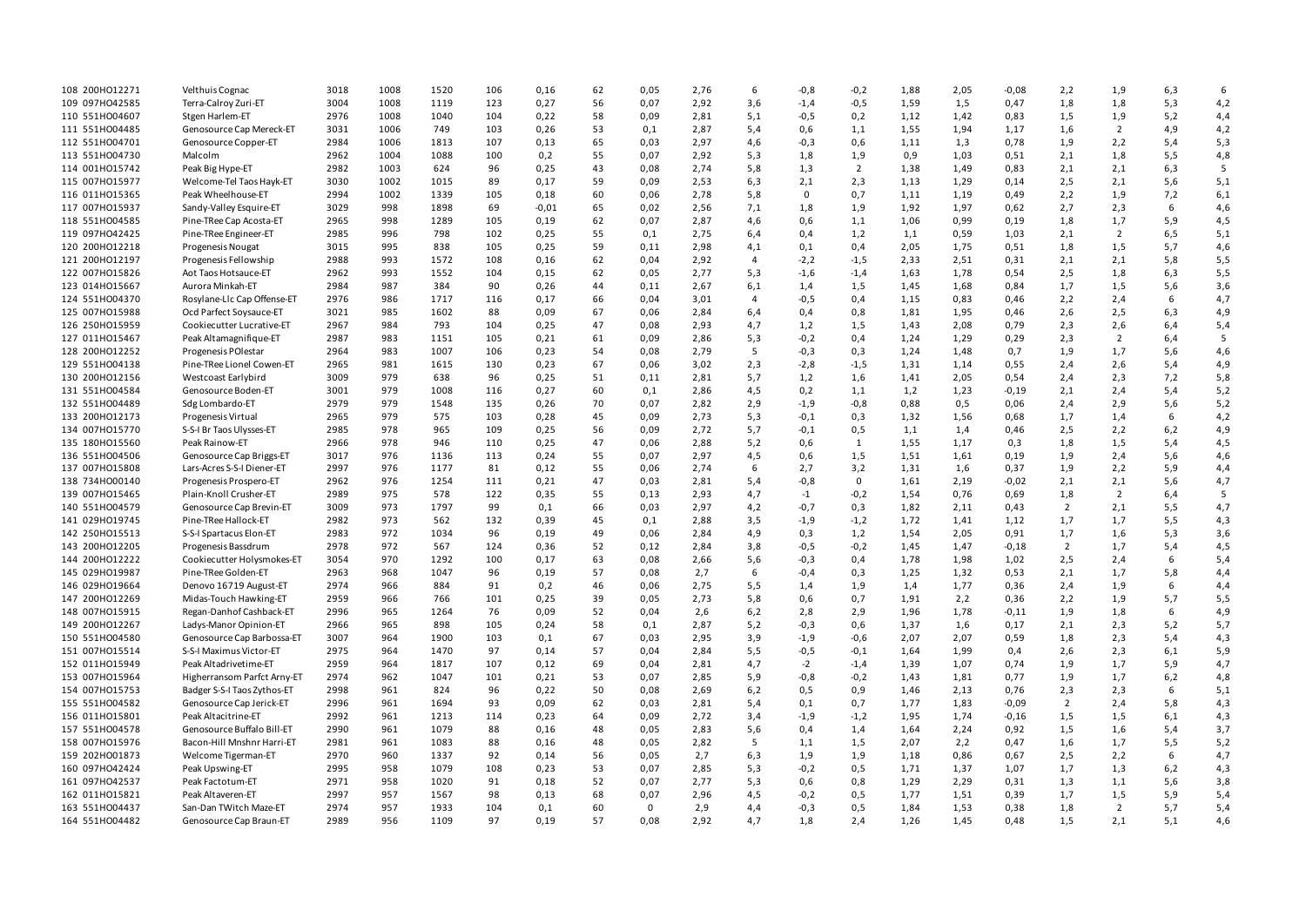| 108 200HO12271                   | Velthuis Cognac                                       | 3018         | 1008       | 1520         | 106       | 0,16    | 62       | 0,05         | 2,76         | 6              | $-0,8$        | $-0,2$         | 1,88         | 2,05         | $-0,08$     | 2,2                   | 1,9            | 6,3        | 6          |
|----------------------------------|-------------------------------------------------------|--------------|------------|--------------|-----------|---------|----------|--------------|--------------|----------------|---------------|----------------|--------------|--------------|-------------|-----------------------|----------------|------------|------------|
| 109 097H042585                   | Terra-Calroy Zuri-ET                                  | 3004         | 1008       | 1119         | 123       | 0,27    | 56       | 0,07         | 2,92         | 3,6            | $-1,4$        | $-0,5$         | 1,59         | 1,5          | 0,47        | 1,8                   | 1,8            | 5,3        | 4,2        |
| 110 551H004607                   | Stgen Harlem-ET                                       | 2976         | 1008       | 1040         | 104       | 0,22    | 58       | 0,09         | 2,81         | 5,1            | $-0,5$        | 0,2            | 1,12         | 1,42         | 0,83        | 1,5                   | 1,9            | 5,2        | 4,4        |
| 111 551H004485                   | Genosource Cap Mereck-ET                              | 3031         | 1006       | 749          | 103       | 0,26    | 53       | 0,1          | 2,87         | 5,4            | 0,6           | 1,1            | 1,55         | 1,94         | 1,17        | 1,6                   | 2              | 4,9        | 4,2        |
| 112 551H004701                   | Genosource Copper-ET                                  | 2984         | 1006       | 1813         | 107       | 0,13    | 65       | 0,03         | 2,97         | 4,6            | $-0,3$        | 0,6            | 1,11         | 1,3          | 0,78        | 1,9                   | 2,2            | 5,4        | 5,3        |
| 113 551H004730                   | Malcolm                                               | 2962         | 1004       | 1088         | 100       | 0,2     | 55       | 0,07         | 2,92         | 5,3            | 1,8           | 1,9            | 0,9          | 1,03         | 0,51        | 2,1                   | 1,8            | 5,5        | 4,8        |
| 114 001H015742                   | Peak Big Hype-ET                                      | 2982         | 1003       | 624          | 96        | 0,25    | 43       | 0,08         | 2,74         | 5,8            | 1,3           | $\overline{2}$ | 1,38         | 1,49         | 0,83        | 2,1                   | 2,1            | 6,3        | 5          |
| 115 007H015977                   | Welcome-Tel Taos Hayk-ET                              | 3030         | 1002       | 1015         | 89        | 0,17    | 59       | 0,09         | 2,53         | 6,3            | 2,1           | 2,3            | 1,13         | 1,29         | 0,14        | 2,5                   | 2,1            | 5,6        | 5,1        |
| 116 011H015365                   | Peak Wheelhouse-ET                                    | 2994         | 1002       | 1339         | 105       | 0,18    | 60       | 0,06         | 2,78         | 5,8            | $\mathbf{0}$  | 0,7            | 1,11         | 1,19         | 0,49        | 2,2                   | 1,9            | 7,2        | 6,1        |
| 117 007HO15937                   | Sandy-Valley Esquire-ET                               | 3029         | 998        | 1898         | 69        | $-0,01$ | 65       | 0,02         | 2,56         | 7,1            | 1,8           | 1,9            | 1,92         | 1,97         | 0,62        | 2,7                   | 2,3            | 6          | 4,6        |
| 118 551H004585                   | Pine-TRee Cap Acosta-ET                               | 2965         | 998        | 1289         | 105       | 0,19    | 62       | 0,07         | 2,87         | 4,6            | 0,6           | 1,1            | 1,06         | 0,99         | 0,19        | 1,8                   | 1,7            | 5,9        | 4,5        |
| 119 097HO42425                   | Pine-TRee Engineer-ET                                 | 2985         | 996        | 798          | 102       | 0,25    | 55       | 0,1          | 2,75         | 6,4            | 0,4           | 1,2            | 1,1          | 0,59         | 1,03        | 2,1                   | 2              | 6,5        | 5,1        |
| 120 200HO12218                   | Progenesis Nougat                                     | 3015         | 995        | 838          | 105       | 0,25    | 59       | 0,11         | 2,98         | 4,1            | 0,1           | 0,4            | 2,05         | 1,75         | 0,51        | 1,8                   | 1,5            | 5,7        | 4,6        |
| 121 200HO12197                   | Progenesis Fellowship                                 | 2988         | 993        | 1572         | 108       | 0,16    | 62       | 0,04         | 2,92         | 4              | $-2,2$        | $-1,5$         | 2,33         | 2,51         | 0,31        | 2,1                   | 2,1            | 5,8        | 5,5        |
| 122 007H015826                   | Aot Taos Hotsauce-ET                                  | 2962         | 993        | 1552         | 104       | 0,15    | 62       | 0,05         | 2,77         | 5,3            | $-1,6$        | $-1,4$         | 1,63         | 1,78         | 0,54        | 2,5                   | 1,8            | 6,3        | 5,5        |
| 123 014H015667                   | Aurora Minkah-ET                                      | 2984         | 987        | 384          | 90        | 0,26    | 44       | 0,11         | 2,67         | 6,1            | 1,4           | 1,5            | 1,45         | 1,68         | 0,84        | 1,7                   | 1,5            | 5,6        | 3,6        |
| 124 551H004370                   | Rosylane-Llc Cap Offense-ET                           | 2976         | 986        | 1717         | 116       | 0,17    | 66       | 0,04         | 3,01         | $\overline{4}$ | $-0,5$        | 0,4            | 1,15         | 0,83         | 0,46        | 2,2                   | 2,4            | 6          | 4,7        |
| 125 007HO15988                   | Ocd Parfect Soysauce-ET                               | 3021         | 985        | 1602         | 88        | 0,09    | 67       | 0,06         | 2,84         | 6,4            | 0,4           | 0,8            | 1,81         | 1,95         | 0,46        | 2,6                   | 2,5            | 6,3        | 4,9        |
| 126 250HO15959                   | Cookiecutter Lucrative-ET                             | 2967         | 984        | 793          | 104       | 0,25    | 47       | 0,08         | 2,93         | 4,7            | 1,2           | 1,5            | 1,43         | 2,08         | 0,79        | 2,3                   | 2,6            | 6,4        | 5,4        |
| 127 011H015467                   | Peak Altamagnifique-ET                                | 2987         | 983        | 1151         | 105       | 0,21    | 61       | 0,09         | 2,86         | 5,3            | $-0,2$        | 0,4            | 1,24         | 1,29         | 0,29        | 2,3                   | 2              | 6,4        | 5          |
| 128 200HO12252                   | Progenesis POI estar                                  | 2964         | 983        | 1007         | 106       | 0,23    | 54       | 0,08         | 2,79         | 5              | $-0,3$        | 0,3            | 1,24         | 1,48         | 0,7         | 1,9                   | 1,7            | 5,6        | 4,6        |
| 129 551H004138                   | Pine-TRee Lionel Cowen-ET                             | 2965         | 981        | 1615         | 130       | 0,23    | 67       | 0,06         | 3,02         | 2,3            | $-2,8$        | $-1,5$         | 1,31         | 1,14         | 0,55        | 2,4                   | 2,6            | 5,4        | 4,9        |
| 130 200HO12156                   | Westcoast Earlybird                                   | 3009         | 979        | 638          | 96        | 0,25    | 51       | 0,11         | 2,81         | 5,7            | 1,2           | 1,6            | 1,41         | 2,05         | 0,54        | 2,4                   | 2,3            | 7,2        | 5,8        |
| 131 551H004584                   | Genosource Boden-ET                                   | 3001         | 979        | 1008         | 116       | 0,27    | 60       | 0,1          | 2,86         | 4,5            | 0,2           | 1,1            | 1,2          | 1,23         | $-0,19$     | 2,1                   | 2,4            | 5,4        | 5,2        |
| 132 551H004489                   | Sdg Lombardo-ET                                       | 2979         | 979        | 1548         | 135       | 0,26    | 70       | 0,07         | 2,82         | 2,9            | $-1,9$        | $-0,8$         | 0,88         | 0,5          | 0,06        | 2,4                   | 2,9            | 5,6        | 5,2        |
| 133 200HO12173                   | Progenesis Virtual                                    | 2965         | 979        | 575          | 103       | 0,28    | 45       | 0,09         | 2,73         | 5,3            | $-0,1$        | 0,3            | 1,32         | 1,56         | 0,68        | 1,7                   | 1,4            | 6          | 4,2        |
| 134 007HO15770                   | S-S-I Br Taos Ulysses-ET                              | 2985         | 978        | 965          | 109       | 0,25    | 56       | 0,09         | 2,72         | 5,7            | $-0,1$        | 0,5            | 1,1          | 1,4          | 0,46        | 2,5                   | 2,2            | 6,2        | 4,9        |
| 135 180HO15560                   | Peak Rainow-ET                                        | 2966         | 978        | 946          | 110       | 0,25    | 47       | 0,06         | 2,88         | 5,2            | 0,6           | 1              | 1,55         | 1,17         | 0,3         | 1,8                   | 1,5            | 5,4        | 4,5        |
| 136 551H004506                   | Genosource Cap Briggs-ET                              | 3017         | 976        | 1136         | 113       | 0,24    | 55       | 0,07         | 2,97         | 4,5            | 0,6           | 1,5            | 1,51         | 1,61         | 0,19        | 1,9                   | 2,4            | 5,6        | 4,6        |
| 137 007HO15808                   | Lars-Acres S-S-I Diener-ET                            | 2997         | 976        | 1177         | 81        | 0,12    | 55       | 0,06         | 2,74         | 6              | 2,7           | 3,2            | 1,31         | 1,6          | 0,37        | 1,9                   | 2,2            | 5,9        | 4,4        |
| 138 734H000140                   | Progenesis Prospero-ET                                | 2962         | 976        | 1254         | 111       | 0,21    | 47       | 0,03         | 2,81         | 5,4            | $-0,8$        | $^{\circ}$     | 1,61         | 2,19         | $-0,02$     | 2,1                   | 2,1            | 5,6        | 4,7        |
| 139 007HO15465                   | Plain-Knoll Crusher-ET                                | 2989         | 975        | 578          | 122       | 0,35    | 55       | 0,13         | 2,93         | 4,7            | $-1$          | $-0,2$         | 1,54         | 0,76         | 0,69        | 1,8                   | $\overline{2}$ | 6,4        | 5          |
| 140 551H004579                   | Genosource Cap Brevin-ET                              | 3009         | 973        | 1797         | 99        | 0,1     | 66       | 0,03         | 2,97         | 4,2            | $-0,7$        | 0,3            | 1,82         | 2,11         | 0,43        | $\overline{2}$        | 2,1            | 5,5        | 4,7        |
| 141 029HO19745                   | Pine-TRee Hallock-ET                                  | 2982         | 973        | 562          | 132       | 0,39    | 45       | 0,1          | 2,88         | 3,5            | $-1,9$        | $-1,2$         | 1,72         | 1,41         | 1,12        | 1,7                   | 1,7            | 5,5        | 4,3        |
| 142 250HO15513                   | S-S-I Spartacus Elon-ET                               | 2983         | 972        | 1034         | 96        | 0,19    | 49       | 0,06         |              |                |               |                |              |              | 0,91        |                       | 1,6            |            |            |
| 143 200HO12205                   | Progenesis Bassdrum                                   | 2978         | 972        | 567          | 124       | 0,36    | 52       | 0,12         | 2,84<br>2,84 | 4,9<br>3,8     | 0,3<br>$-0,5$ | 1,2<br>$-0,2$  | 1,54<br>1,45 | 2,05<br>1,47 | $-0,18$     | 1,7<br>$\overline{2}$ | 1,7            | 5,3<br>5,4 | 3,6<br>4,5 |
| 144 200HO12222                   | Cookiecutter Holysmokes-ET                            | 3054         | 970        | 1292         | 100       | 0,17    | 63       | 0,08         | 2,66         |                | $-0,3$        |                | 1,78         | 1,98         | 1,02        | 2,5                   | 2,4            | 6          |            |
| 145 029HO19987                   | Pine-TRee Golden-ET                                   | 2963         | 968        | 1047         | 96        | 0,19    | 57       | 0,08         | 2,7          | 5,6<br>6       | $-0,4$        | 0,4<br>0,3     | 1,25         | 1,32         | 0,53        | 2,1                   | 1,7            | 5,8        | 5,4        |
|                                  |                                                       | 2974         | 966        | 884          | 91        |         | 46       |              |              | 5,5            |               |                |              |              |             |                       |                | 6          | 4,4        |
| 146 029HO19664                   | Denovo 16719 August-ET                                |              | 966        | 766          | 101       | 0,2     |          | 0,06         | 2,75         |                | 1,4           | 1,9            | 1,4          | 1,77         | 0,36        | 2,4                   | 1,9            |            | 4,4        |
| 147 200HO12269                   | Midas-Touch Hawking-ET                                | 2959         |            |              |           | 0,25    | 39       | 0,05         | 2,73         | 5,8            | 0,6           | 0,7            | 1,91         | 2,2          | 0,36        | 2,2                   | 1,9            | 5,7<br>6   | 5,5        |
| 148 007H015915<br>149 200HO12267 | Regan-Danhof Cashback-ET                              | 2996<br>2966 | 965        | 1264<br>898  | 76        | 0,09    | 52<br>58 | 0,04         | 2,6          | 6,2            | 2,8           | 2,9            | 1,96         | 1,78<br>1,6  | $-0,11$     | 1,9                   | 1,8            |            | 4,9<br>5,7 |
|                                  | Ladys-Manor Opinion-ET                                |              | 965        |              | 105       | 0,24    |          | 0,1          | 2,87         | 5,2            | $-0,3$        | 0,6            | 1,37         |              | 0,17        | 2,1                   | 2,3            | 5,2        |            |
| 150 551H004580<br>151 007HO15514 | Genosource Cap Barbossa-ET<br>S-S-I Maximus Victor-ET | 3007<br>2975 | 964<br>964 | 1900<br>1470 | 103<br>97 | 0,1     | 67<br>57 | 0,03<br>0,04 | 2,95         | 3,9            | $-1,9$        | $-0,6$         | 2,07         | 2,07         | 0,59<br>0,4 | 1,8<br>2,6            | 2,3            | 5,4        | 4,3        |
|                                  |                                                       |              |            |              |           | 0,14    |          |              | 2,84         | 5,5            | $-0,5$        | $-0,1$         | 1,64         | 1,99         |             |                       | 2,3            | 6,1        | 5,9        |
| 152 011H015949                   | Peak Altadrivetime-ET                                 | 2959         | 964        | 1817         | 107       | 0,12    | 69       | 0,04         | 2,81         | 4,7            | $-2$          | $-1,4$         | 1,39         | 1,07         | 0,74        | 1,9                   | 1,7            | 5,9        | 4,7        |
| 153 007HO15964                   | Higherransom Parfct Arny-ET                           | 2974         | 962        | 1047         | 101       | 0,21    | 53       | 0,07         | 2,85         | 5,9            | $-0,8$        | $-0,2$         | 1,43         | 1,81         | 0,77        | 1,9                   | 1,7            | 6,2        | 4,8        |
| 154 007H015753                   | Badger S-S-I Taos Zythos-ET                           | 2998         | 961        | 824          | 96        | 0,22    | 50       | 0,08         | 2,69         | 6,2            | 0,5           | 0,9            | 1,46         | 2,13         | 0,76        | 2,3                   | 2,3            | 6          | 5,1        |
| 155 551H004582                   | Genosource Cap Jerick-ET                              | 2996         | 961        | 1694         | 93        | 0,09    | 62       | 0,03         | 2,81         | 5,4            | 0,1           | 0,7            | 1,77         | 1,83         | $-0,09$     | $\overline{2}$        | 2,4            | 5,8        | 4,3        |
| 156 011H015801                   | Peak Altacitrine-ET                                   | 2992         | 961        | 1213         | 114       | 0,23    | 64       | 0,09         | 2,72         | 3,4            | $-1,9$        | $-1,2$         | 1,95         | 1,74         | $-0,16$     | 1,5                   | 1,5            | 6,1        | 4,3        |
| 157 551HO04578                   | Genosource Buffalo Bill-ET                            | 2990         | 961        | 1079         | 88        | 0,16    | 48       | 0,05         | 2,83         | 5,6            | 0,4           | 1,4            | 1,64         | 2,24         | 0,92        | 1,5                   | 1,6            | 5,4        | 3,7        |
| 158 007H015976                   | Bacon-Hill Mnshnr Harri-ET                            | 2981         | 961        | 1083         | 88        | 0,16    | 48       | 0,05         | 2,82         | 5              | 1,1           | 1,5            | 2,07         | 2,2          | 0,47        | 1,6                   | 1,7            | 5,5        | 5,2        |
| 159 202HO01873                   | Welcome Tigerman-ET                                   | 2970         | 960        | 1337         | 92        | 0,14    | 56       | 0,05         | 2,7          | 6,3            | 1,9           | 1,9            | 1,18         | 0,86         | 0,67        | 2,5                   | 2,2            | 6          | 4,7        |
| 160 097H042424                   | Peak Upswing-ET                                       | 2995         | 958        | 1079         | 108       | 0,23    | 53       | 0,07         | 2,85         | 5,3            | $-0,2$        | 0,5            | 1,71         | 1,37         | 1,07        | 1,7                   | 1,3            | 6,2        | 4,3        |
| 161 097H042537                   | Peak Factotum-ET                                      | 2971         | 958        | 1020         | 91        | 0,18    | 52       | 0,07         | 2,77         | 5,3            | 0,6           | 0,8            | 1,29         | 2,29         | 0,31        | 1,3                   | 1,1            | 5,6        | 3,8        |
| 162 011H015821                   | Peak Altaveren-ET                                     | 2997         | 957        | 1567         | 98        | 0,13    | 68       | 0,07         | 2,96         | 4,5            | $-0,2$        | 0,5            | 1,77         | 1,51         | 0,39        | 1,7                   | 1,5            | 5,9        | 5,4        |
| 163 551H004437                   | San-Dan TWitch Maze-ET                                | 2974         | 957        | 1933         | 104       | 0,1     | 60       | $\mathbf 0$  | 2,9          | 4,4            | $-0,3$        | 0,5            | 1,84         | 1,53         | 0,38        | 1,8                   | $\overline{2}$ | 5,7        | 5,4        |
| 164 551H004482                   | Genosource Cap Braun-ET                               | 2989         | 956        | 1109         | 97        | 0,19    | 57       | 0,08         | 2,92         | 4,7            | 1,8           | 2,4            | 1,26         | 1,45         | 0,48        | 1,5                   | 2,1            | 5,1        | 4,6        |